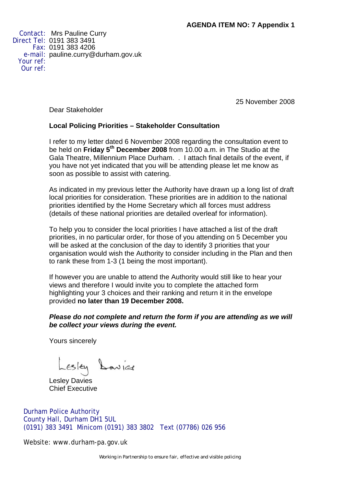Contact: Mrs Pauline Curry Direct Tel: 0191 383 3491 Fax: 0191 383 4206 e-mail: pauline.curry@durham.gov.uk Your ref: Our ref:

25 November 2008

Dear Stakeholder

# **Local Policing Priorities – Stakeholder Consultation**

I refer to my letter dated 6 November 2008 regarding the consultation event to be held on **Friday 5th December 2008** from 10.00 a.m. in The Studio at the Gala Theatre, Millennium Place Durham. . I attach final details of the event, if you have not yet indicated that you will be attending please let me know as soon as possible to assist with catering.

As indicated in my previous letter the Authority have drawn up a long list of draft local priorities for consideration. These priorities are in addition to the national priorities identified by the Home Secretary which all forces must address (details of these national priorities are detailed overleaf for information).

To help you to consider the local priorities I have attached a list of the draft priorities, in no particular order, for those of you attending on 5 December you will be asked at the conclusion of the day to identify 3 priorities that your organisation would wish the Authority to consider including in the Plan and then to rank these from 1-3 (1 being the most important).

If however you are unable to attend the Authority would still like to hear your views and therefore I would invite you to complete the attached form highlighting your 3 choices and their ranking and return it in the envelope provided **no later than 19 December 2008.**

### *Please do not complete and return the form if you are attending as we will be collect your views during the event.*

Yours sincerely

Lesley Lavier

Chief Executive

Durham Police Authority County Hall, Durham DH1 5UL (0191) 383 3491 Minicom (0191) 383 3802 Text (07786) 026 956

Website: www.durham-pa.gov.uk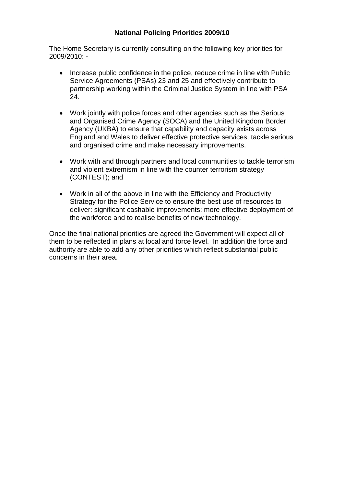## **National Policing Priorities 2009/10**

The Home Secretary is currently consulting on the following key priorities for 2009/2010: -

- Increase public confidence in the police, reduce crime in line with Public Service Agreements (PSAs) 23 and 25 and effectively contribute to partnership working within the Criminal Justice System in line with PSA 24.
- Work jointly with police forces and other agencies such as the Serious and Organised Crime Agency (SOCA) and the United Kingdom Border Agency (UKBA) to ensure that capability and capacity exists across England and Wales to deliver effective protective services, tackle serious and organised crime and make necessary improvements.
- Work with and through partners and local communities to tackle terrorism and violent extremism in line with the counter terrorism strategy (CONTEST); and
- Work in all of the above in line with the Efficiency and Productivity Strategy for the Police Service to ensure the best use of resources to deliver: significant cashable improvements: more effective deployment of the workforce and to realise benefits of new technology.

Once the final national priorities are agreed the Government will expect all of them to be reflected in plans at local and force level. In addition the force and authority are able to add any other priorities which reflect substantial public concerns in their area.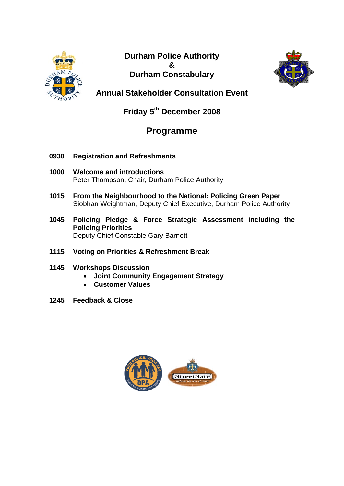

**Durham Police Authority & Durham Constabulary** 



**Annual Stakeholder Consultation Event** 

**Friday 5th December 2008** 

# **Programme**

- **0930 Registration and Refreshments**
- **1000 Welcome and introductions**  Peter Thompson, Chair, Durham Police Authority
- **1015 From the Neighbourhood to the National: Policing Green Paper**  Siobhan Weightman, Deputy Chief Executive, Durham Police Authority
- **1045 Policing Pledge & Force Strategic Assessment including the Policing Priorities**  Deputy Chief Constable Gary Barnett
- **1115 Voting on Priorities & Refreshment Break**

# **1145 Workshops Discussion**

- **Joint Community Engagement Strategy**
- **Customer Values**
- **1245 Feedback & Close**

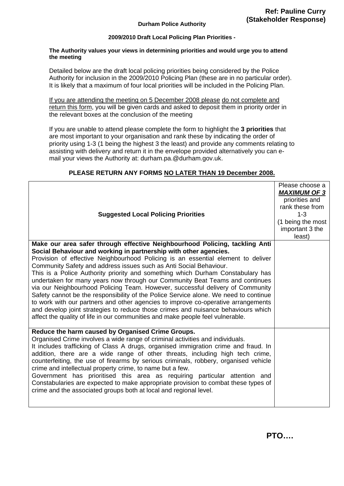#### **Durham Police Authority**

#### **2009/2010 Draft Local Policing Plan Priorities -**

#### **The Authority values your views in determining priorities and would urge you to attend the meeting**

Detailed below are the draft local policing priorities being considered by the Police Authority for inclusion in the 2009/2010 Policing Plan (these are in no particular order). It is likely that a maximum of four local priorities will be included in the Policing Plan.

If you are attending the meeting on 5 December 2008 please do not complete and return this form, you will be given cards and asked to deposit them in priority order in the relevant boxes at the conclusion of the meeting

If you are unable to attend please complete the form to highlight the **3 priorities** that are most important to your organisation and rank these by indicating the order of priority using 1-3 (1 being the highest 3 the least) and provide any comments relating to assisting with delivery and return it in the envelope provided alternatively you can email your views the Authority at: durham.pa.@durham.gov.uk.

| <b>Suggested Local Policing Priorities</b>                                                                                                                                                                                                                                                                                                                                                                                                                                                                                                                                                                                                                                                                                                                      | Please choose a<br><b>MAXIMUM OF 3</b><br>priorities and<br>rank these from<br>$1 - 3$<br>(1 being the most<br>important 3 the<br>least) |
|-----------------------------------------------------------------------------------------------------------------------------------------------------------------------------------------------------------------------------------------------------------------------------------------------------------------------------------------------------------------------------------------------------------------------------------------------------------------------------------------------------------------------------------------------------------------------------------------------------------------------------------------------------------------------------------------------------------------------------------------------------------------|------------------------------------------------------------------------------------------------------------------------------------------|
| Make our area safer through effective Neighbourhood Policing, tackling Anti                                                                                                                                                                                                                                                                                                                                                                                                                                                                                                                                                                                                                                                                                     |                                                                                                                                          |
| Social Behaviour and working in partnership with other agencies.                                                                                                                                                                                                                                                                                                                                                                                                                                                                                                                                                                                                                                                                                                |                                                                                                                                          |
| Provision of effective Neighbourhood Policing is an essential element to deliver<br>Community Safety and address issues such as Anti Social Behaviour.<br>This is a Police Authority priority and something which Durham Constabulary has<br>undertaken for many years now through our Community Beat Teams and continues<br>via our Neighbourhood Policing Team. However, successful delivery of Community<br>Safety cannot be the responsibility of the Police Service alone. We need to continue<br>to work with our partners and other agencies to improve co-operative arrangements<br>and develop joint strategies to reduce those crimes and nuisance behaviours which<br>affect the quality of life in our communities and make people feel vulnerable. |                                                                                                                                          |
| Reduce the harm caused by Organised Crime Groups.                                                                                                                                                                                                                                                                                                                                                                                                                                                                                                                                                                                                                                                                                                               |                                                                                                                                          |
| Organised Crime involves a wide range of criminal activities and individuals.<br>It includes trafficking of Class A drugs, organised immigration crime and fraud. In<br>addition, there are a wide range of other threats, including high tech crime,<br>counterfeiting, the use of firearms by serious criminals, robbery, organised vehicle<br>crime and intellectual property crime, to name but a few.<br>Government has prioritised this area as requiring particular attention and<br>Constabularies are expected to make appropriate provision to combat these types of<br>crime and the associated groups both at local and regional level.                                                                                                             |                                                                                                                                          |

#### **PLEASE RETURN ANY FORMS NO LATER THAN 19 December 2008.**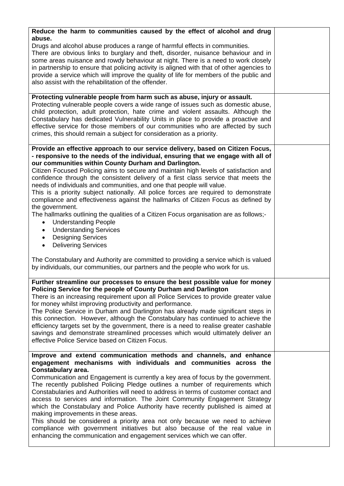| Reduce the harm to communities caused by the effect of alcohol and drug<br>abuse.                                                                                                                                                                                                                                                                                                                                                                                                                                                                                                                                                                                                                                                                                                                                                                                                |  |
|----------------------------------------------------------------------------------------------------------------------------------------------------------------------------------------------------------------------------------------------------------------------------------------------------------------------------------------------------------------------------------------------------------------------------------------------------------------------------------------------------------------------------------------------------------------------------------------------------------------------------------------------------------------------------------------------------------------------------------------------------------------------------------------------------------------------------------------------------------------------------------|--|
| Drugs and alcohol abuse produces a range of harmful effects in communities.<br>There are obvious links to burglary and theft, disorder, nuisance behaviour and in<br>some areas nuisance and rowdy behaviour at night. There is a need to work closely<br>in partnership to ensure that policing activity is aligned with that of other agencies to<br>provide a service which will improve the quality of life for members of the public and<br>also assist with the rehabilitation of the offender.                                                                                                                                                                                                                                                                                                                                                                            |  |
| Protecting vulnerable people from harm such as abuse, injury or assault.                                                                                                                                                                                                                                                                                                                                                                                                                                                                                                                                                                                                                                                                                                                                                                                                         |  |
| Protecting vulnerable people covers a wide range of issues such as domestic abuse,<br>child protection, adult protection, hate crime and violent assaults. Although the<br>Constabulary has dedicated Vulnerability Units in place to provide a proactive and<br>effective service for those members of our communities who are affected by such<br>crimes, this should remain a subject for consideration as a priority.                                                                                                                                                                                                                                                                                                                                                                                                                                                        |  |
| Provide an effective approach to our service delivery, based on Citizen Focus,                                                                                                                                                                                                                                                                                                                                                                                                                                                                                                                                                                                                                                                                                                                                                                                                   |  |
| - responsive to the needs of the individual, ensuring that we engage with all of<br>our communities within County Durham and Darlington.<br>Citizen Focused Policing aims to secure and maintain high levels of satisfaction and<br>confidence through the consistent delivery of a first class service that meets the<br>needs of individuals and communities, and one that people will value.<br>This is a priority subject nationally. All police forces are required to demonstrate<br>compliance and effectiveness against the hallmarks of Citizen Focus as defined by<br>the government.<br>The hallmarks outlining the qualities of a Citizen Focus organisation are as follows;-<br><b>Understanding People</b>                                                                                                                                                         |  |
| <b>Understanding Services</b><br>$\bullet$<br><b>Designing Services</b><br>$\bullet$<br><b>Delivering Services</b><br>$\bullet$                                                                                                                                                                                                                                                                                                                                                                                                                                                                                                                                                                                                                                                                                                                                                  |  |
| The Constabulary and Authority are committed to providing a service which is valued<br>by individuals, our communities, our partners and the people who work for us.                                                                                                                                                                                                                                                                                                                                                                                                                                                                                                                                                                                                                                                                                                             |  |
| Further streamline our processes to ensure the best possible value for money<br>Policing Service for the people of County Durham and Darlington<br>There is an increasing requirement upon all Police Services to provide greater value<br>for money whilst improving productivity and performance.<br>The Police Service in Durham and Darlington has already made significant steps in<br>this connection. However, although the Constabulary has continued to achieve the<br>efficiency targets set by the government, there is a need to realise greater cashable<br>savings and demonstrate streamlined processes which would ultimately deliver an<br>effective Police Service based on Citizen Focus.                                                                                                                                                                     |  |
| Improve and extend communication methods and channels, and enhance<br>engagement mechanisms with individuals and communities across the<br>Constabulary area.<br>Communication and Engagement is currently a key area of focus by the government.<br>The recently published Policing Pledge outlines a number of requirements which<br>Constabularies and Authorities will need to address in terms of customer contact and<br>access to services and information. The Joint Community Engagement Strategy<br>which the Constabulary and Police Authority have recently published is aimed at<br>making improvements in these areas.<br>This should be considered a priority area not only because we need to achieve<br>compliance with government initiatives but also because of the real value in<br>enhancing the communication and engagement services which we can offer. |  |